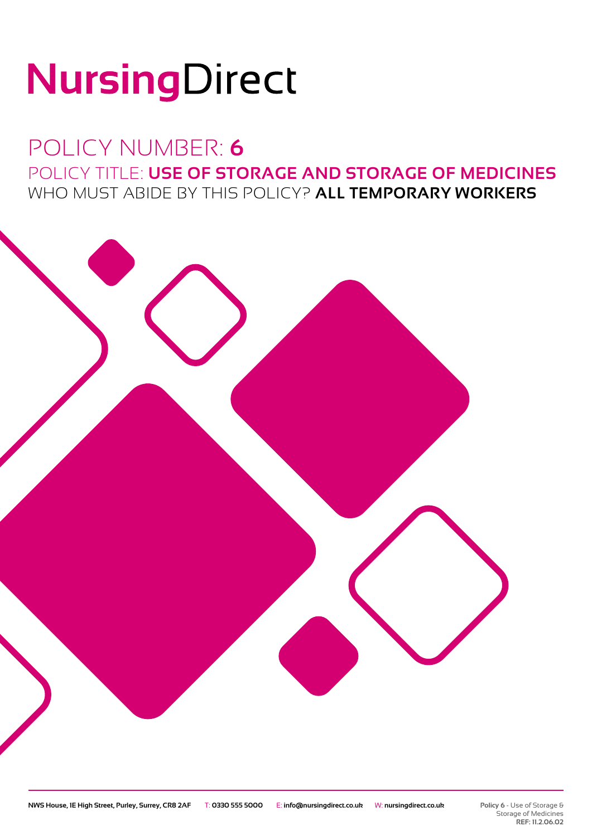# NursingDirect

### POLICY NUMBER: **6** POLICY TITLE: **USE OF STORAGE AND STORAGE OF MEDICINES** WHO MUST ABIDE BY THIS POLICY? **ALL TEMPORARY WORKERS**